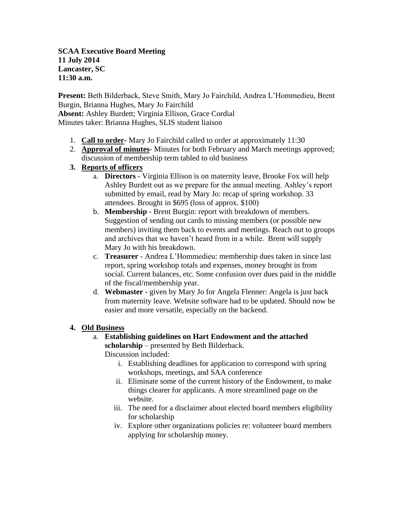**SCAA Executive Board Meeting 11 July 2014 Lancaster, SC 11:30 a.m.**

**Present:** Beth Bilderback, Steve Smith, Mary Jo Fairchild, Andrea L'Hommedieu, Brent Burgin, Brianna Hughes, Mary Jo Fairchild **Absent:** Ashley Burdett; Virginia Ellison, Grace Cordial

Minutes taker: Brianna Hughes, SLIS student liaison

- 1. **Call to order** Mary Jo Fairchild called to order at approximately 11:30
- 2. **Approval of minutes** Minutes for both February and March meetings approved; discussion of membership term tabled to old business
- **3. Reports of officers**
	- a. **Directors** Virginia Ellison is on maternity leave, Brooke Fox will help Ashley Burdett out as we prepare for the annual meeting. Ashley's report submitted by email, read by Mary Jo: recap of spring workshop. 33 attendees. Brought in \$695 (loss of approx. \$100)
	- b. **Membership** Brent Burgin: report with breakdown of members. Suggestion of sending out cards to missing members (or possible new members) inviting them back to events and meetings. Reach out to groups and archives that we haven't heard from in a while. Brent will supply Mary Jo with his breakdown.
	- c. **Treasurer** Andrea L'Hommedieu: membership dues taken in since last report, spring workshop totals and expenses, money brought in from social. Current balances, etc. Some confusion over dues paid in the middle of the fiscal/membership year.
	- d. **Webmaster** given by Mary Jo for Angela Flenner: Angela is just back from maternity leave. Website software had to be updated. Should now be easier and more versatile, especially on the backend.
- **4. Old Business**
	- a. **Establishing guidelines on Hart Endowment and the attached scholarship** – presented by Beth Bilderback.

Discussion included:

- i. Establishing deadlines for application to correspond with spring workshops, meetings, and SAA conference
- ii. Eliminate some of the current history of the Endowment, to make things clearer for applicants. A more streamlined page on the website.
- iii. The need for a disclaimer about elected board members eligibility for scholarship
- iv. Explore other organizations policies re: volunteer board members applying for scholarship money.